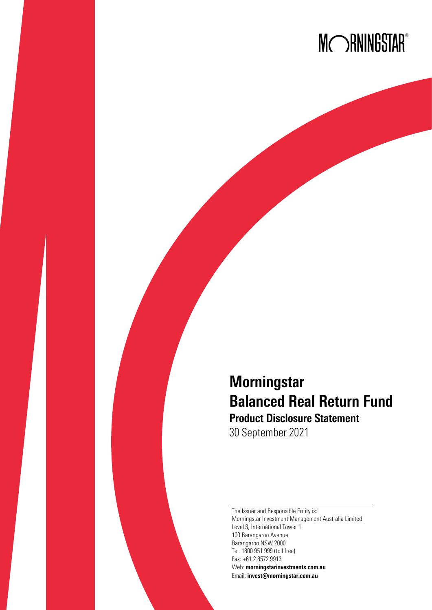

# **Morningstar** Balanced Real Return Fund Product Disclosure Statement

30 September 2021

The Issuer and Responsible Entity is: Morningstar Investment Management Australia Limited Level 3, International Tower 1 100 Barangaroo Avenue Barangaroo NSW 2000 Tel: 1800 951 999 (toll free) Fax: +61 2 8572 9913 Web: [morningstarinvestments.com.au](http://morningstarinvestments.com.au/) Email: [invest@morningstar.com.au](mailto:invest@morningstar.com.au)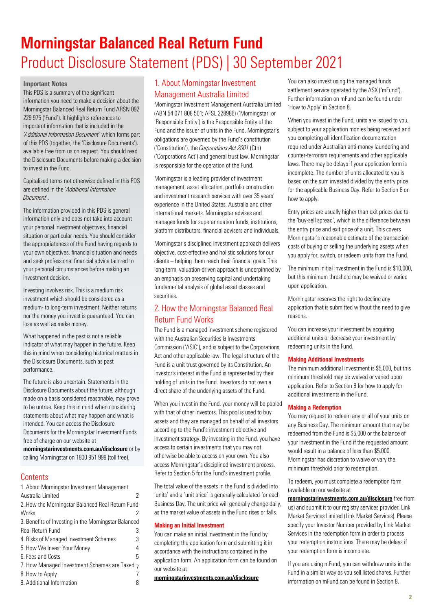# Morningstar Balanced Real Return Fund Product Disclosure Statement (PDS) | 30 September 2021

# Important Notes

This PDS is a summary of the significant information you need to make a decision about the Morningstar Balanced Real Return Fund ARSN 092 229 975 ('Fund'). It highlights references to important information that is included in the *'Additional Information Document'* which forms part of this PDS (together, the 'Disclosure Documents'). available free from us on request. You should read the Disclosure Documents before making a decision to invest in the Fund.

Capitalised terms not otherwise defined in this PDS are defined in the '*Additional Information Document*'.

The information provided in this PDS is general information only and does not take into account your personal investment objectives, financial situation or particular needs. You should consider the appropriateness of the Fund having regards to your own objectives, financial situation and needs and seek professional financial advice tailored to your personal circumstances before making an investment decision.

Investing involves risk. This is a medium risk investment which should be considered as a medium- to long-term investment. Neither returns nor the money you invest is guaranteed. You can lose as well as make money.

What happened in the past is not a reliable indicator of what may happen in the future. Keep this in mind when considering historical matters in the Disclosure Documents, such as past performance.

The future is also uncertain. Statements in the Disclosure Documents about the future, although made on a basis considered reasonable, may prove to be untrue. Keep this in mind when considering statements about what may happen and what is intended. You can access the Disclosure Documents for the Morningstar Investment Funds free of charge on our website at

[morningstarinvestments.com.au/disclosure](http://morningstarinvestments.com.au/disclosure) or by calling Morningstar on 1800 951 999 (toll free).

# **Contents**

| 1. About Morningstar Investment Management           |   |
|------------------------------------------------------|---|
| Australia Limited                                    |   |
| 2. How the Morningstar Balanced Real Return Fund     |   |
| Works                                                |   |
| 3. Benefits of Investing in the Morningstar Balanced |   |
| <b>Real Return Fund</b>                              | 3 |
| 4. Risks of Managed Investment Schemes               | 3 |
| 5. How We Invest Your Money                          | 4 |
| 6. Fees and Costs                                    | 5 |
| 7. How Managed Investment Schemes are Taxed 7        |   |
| 8. How to Apply                                      |   |
| 9. Additional Information                            |   |

# <span id="page-1-0"></span>1. About Morningstar Investment Management Australia Limited

Morningstar Investment Management Australia Limited (ABN 54 071 808 501; AFSL 228986) ('Morningstar' or 'Responsible Entity') is the Responsible Entity of the Fund and the issuer of units in the Fund. Morningstar's obligations are governed by the Fund's constitution ('Constitution'), the *Corporations Act 2001* (Cth) ('Corporations Act') and general trust law. Morningstar is responsible for the operation of the Fund.

Morningstar is a leading provider of investment management, asset allocation, portfolio construction and investment research services with over 35 years' experience in the United States, Australia and other international markets. Morningstar advises and manages funds for superannuation funds, institutions, platform distributors, financial advisers and individuals.

Morningstar's disciplined investment approach delivers objective, cost-effective and holistic solutions for our clients – helping them reach their financial goals. This long-term, valuation-driven approach is underpinned by an emphasis on preserving capital and undertaking fundamental analysis of global asset classes and securities.

# <span id="page-1-1"></span>2. How the Morningstar Balanced Real Return Fund Works

The Fund is a managed investment scheme registered with the Australian Securities & Investments Commission ('ASIC'), and is subject to the Corporations Act and other applicable law. The legal structure of the Fund is a unit trust governed by its Constitution. An investor's interest in the Fund is represented by their holding of units in the Fund. Investors do not own a direct share of the underlying assets of the Fund.

When you invest in the Fund, your money will be pooled with that of other investors. This pool is used to buy assets and they are managed on behalf of all investors according to the Fund's investment objective and investment strategy. By investing in the Fund, you have access to certain investments that you may not otherwise be able to access on your own. You also access Morningstar's disciplined investment process. Refer to Section 5 for the Fund's investment profile.

The total value of the assets in the Fund is divided into 'units' and a 'unit price' is generally calculated for each Business Day. The unit price will generally change daily, as the market value of assets in the Fund rises or falls.

# Making an Initial Investment

You can make an initial investment in the Fund by completing the application form and submitting it in accordance with the instructions contained in the application form. An application form can be found on our website at

[morningstarinvestments.com.au/disclosure](http://morningstarinvestments.com.au/disclosure)

You can also invest using the managed funds settlement service operated by the ASX ('mFund'). Further information on mFund can be found under 'How to Apply' in Section 8.

When you invest in the Fund, units are issued to you, subject to your application monies being received and you completing all identification documentation required under Australian anti-money laundering and counter-terrorism requirements and other applicable laws. There may be delays if your application form is incomplete. The number of units allocated to you is based on the sum invested divided by the entry price for the applicable Business Day. Refer to Section 8 on how to apply.

Entry prices are usually higher than exit prices due to the 'buy-sell spread', which is the difference between the entry price and exit price of a unit. This covers Morningstar's reasonable estimate of the transaction costs of buying or selling the underlying assets when you apply for, switch, or redeem units from the Fund.

The minimum initial investment in the Fund is \$10,000, but this minimum threshold may be waived or varied upon application.

Morningstar reserves the right to decline any application that is submitted without the need to give reasons.

You can increase your investment by acquiring additional units or decrease your investment by redeeming units in the Fund.

# Making Additional Investments

The minimum additional investment is \$5,000, but this minimum threshold may be waived or varied upon application. Refer to Section 8 for how to apply for additional investments in the Fund.

# Making a Redemption

You may request to redeem any or all of your units on any Business Day. The minimum amount that may be redeemed from the Fund is \$5,000 or the balance of your investment in the Fund if the requested amount would result in a balance of less than \$5,000. Morningstar has discretion to waive or vary the minimum threshold prior to redemption.

To redeem, you must complete a redemption form (available on our website at

[morningstarinvestments.com.au/disclosure](https://www.morningstarinvestments.com.au/disclosure) free from us) and submit it to our registry services provider, Link Market ServicesLimited (Link Market Services). Please specify your Investor Number provided by Link Market Services in the redemption form in order to process your redemption instructions. There may be delays if your redemption form is incomplete.

If you are using mFund, you can withdraw units in the Fund in a similar way as you sell listed shares. Further information on mFund can be found in Section 8.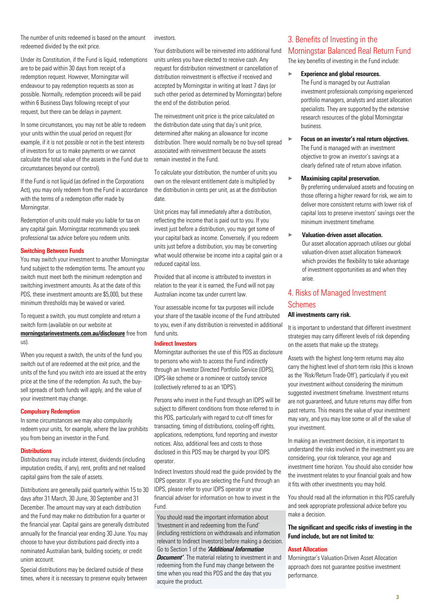The number of units redeemed is based on the amount redeemed divided by the exit price.

Under its Constitution, if the Fund is liquid, redemptions are to be paid within 30 days from receipt of a redemption request. However, Morningstar will endeavour to pay redemption requests as soon as possible. Normally, redemption proceeds will be paid within 6 Business Days following receipt of your request, but there can be delays in payment.

In some circumstances, you may not be able to redeem your units within the usual period on request (for example, if it is not possible or not in the best interests of investors for us to make payments or we cannot calculate the total value of the assets in the Fund due to circumstances beyond our control).

If the Fund is not liquid (as defined in the Corporations Act), you may only redeem from the Fund in accordance with the terms of a redemption offer made by Morningstar.

Redemption of units could make you liable for tax on any capital gain. Morningstar recommends you seek professional tax advice before you redeem units.

#### Switching Between Funds

You may switch your investment to another Morningstar fund subject to the redemption terms. The amount you switch must meet both the minimum redemption and switching investment amounts. As at the date of this PDS, these investment amounts are \$5,000, but these minimum thresholds may be waived or varied.

To request a switch, you must complete and return a switch form (available on our website at

[morningstarinvestments.com.au/disclosure](https://www.morningstarinvestments.com.au/disclosure) free from us).

When you request a switch, the units of the fund you switch out of are redeemed at the exit price, and the units of the fund you switch into are issued at the entry price at the time of the redemption. As such, the buysell spreads of both funds will apply, and the value of your investment may change.

#### Compulsory Redemption

In some circumstances we may also compulsorily redeem your units, for example, where the law prohibits you from being an investor in the Fund.

#### **Distributions**

Distributions may include interest, dividends (including imputation credits, if any), rent, profits and net realised capital gains from the sale of assets.

Distributions are generally paid quarterly within 15 to 30 days after 31 March, 30 June, 30 September and 31 December. The amount may vary at each distribution and the Fund may make no distribution for a quarter or the financial year. Capital gains are generally distributed annually for the financial year ending 30 June. You may choose to have your distributions paid directly into a nominated Australian bank, building society, or credit union account.

Special distributions may be declared outside of these times, where it is necessary to preserve equity between investors.

Your distributions will be reinvested into additional fund units unless you have elected to receive cash. Any request for distribution reinvestment or cancellation of distribution reinvestment is effective if received and accepted by Morningstar in writing at least 7 days (or such other period as determined by Morningstar) before the end of the distribution period.

The reinvestment unit price is the price calculated on the distribution date using that day's unit price, determined after making an allowance for income distribution. There would normally be no buy-sell spread associated with reinvestment because the assets remain invested in the Fund.

To calculate your distribution, the number of units you own on the relevant entitlement date is multiplied by the distribution in cents per unit, as at the distribution date.

Unit prices may fall immediately after a distribution, reflecting the income that is paid out to you. If you invest just before a distribution, you may get some of your capital back as income. Conversely, if you redeem units just before a distribution, you may be converting what would otherwise be income into a capital gain or a reduced capital loss.

Provided that all income is attributed to investors in relation to the year it is earned, the Fund will not pay Australian income tax under current law.

Your assessable income for tax purposes will include your share of the taxable income of the Fund attributed to you, even if any distribution is reinvested in additional fund units.

#### Indirect Investors

Morningstar authorises the use of this PDS as disclosure to persons who wish to access the Fund indirectly through an Investor Directed Portfolio Service (IDPS), IDPS-like scheme or a nominee or custody service (collectively referred to as an 'IDPS').

Persons who invest in the Fund through an IDPS will be subject to different conditions from those referred to in this PDS, particularly with regard to cut-off times for transacting, timing of distributions, cooling-off rights, applications, redemptions, fund reporting and investor notices. Also, additional fees and costs to those disclosed in this PDS may be charged by your IDPS operator.

Indirect Investors should read the guide provided by the IDPS operator. If you are selecting the Fund through an IDPS, please refer to your IDPS operator or your financial adviser for information on how to invest in the Fund.

You should read the important information about 'Investment in and redeeming from the Fund' (including restrictions on withdrawals and information relevant to Indirect Investors) before making a decision. Go to Section 1 of the *'Additional Information* 

*Document'*. The material relating to investment in and redeeming from the Fund may change between the time when you read this PDS and the day that you acquire the product.

# <span id="page-2-0"></span>3. Benefits of Investing in the Morningstar Balanced Real Return Fund The key benefits of investing in the Fund include:

#### $\blacktriangleright$  Experience and global resources.

The Fund is managed by our Australian investment professionals comprising experienced portfolio managers, analysts and asset allocation specialists. They are supported by the extensive research resources of the global Morningstar business.

 $\blacktriangleright$  Focus on an investor's real return objectives. The Fund is managed with an investment objective to grow an investor's savings at a clearly defined rate of return above inflation.

#### × Maximising capital preservation.

By preferring undervalued assets and focusing on those offering a higher reward for risk, we aim to deliver more consistent returns with lower risk of capital loss to preserve investors' savings over the minimum investment timeframe.

 $\blacktriangleright$  Valuation-driven asset allocation.

Our asset allocation approach utilises our global valuation-driven asset allocation framework which provides the flexibility to take advantage of investment opportunities as and when they arise.

# <span id="page-2-1"></span>4. Risks of Managed Investment Schemes

# All investments carry risk.

It is important to understand that different investment strategies may carry different levels of risk depending on the assets that make up the strategy.

Assets with the highest long-term returns may also carry the highest level of short-term risks (this is known as the 'Risk/Return Trade-Off'), particularly if you exit your investment without considering the minimum suggested investment timeframe. Investment returns are not guaranteed, and future returns may differ from past returns. This means the value of your investment may vary, and you may lose some or all of the value of your investment.

In making an investment decision, it is important to understand the risks involved in the investment you are considering, your risk tolerance, your age and investment time horizon. You should also consider how the investment relates to your financial goals and how it fits with other investments you may hold.

You should read all the information in this PDS carefully and seek appropriate professional advice before you make a decision.

#### The significant and specific risks of investing in the Fund include, but are not limited to:

#### Asset Allocation

Morningstar's Valuation-Driven Asset Allocation approach does not guarantee positive investment performance.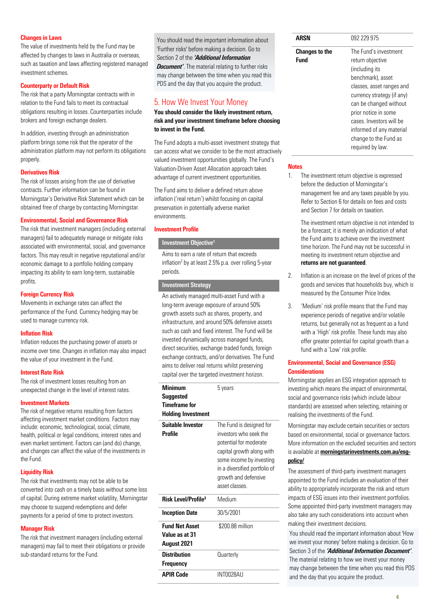# Changes in Laws

The value of investments held by the Fund may be affected by changes to laws in Australia or overseas, such as taxation and laws affecting registered managed investment schemes.

## Counterparty or Default Risk

The risk that a party Morningstar contracts with in relation to the Fund fails to meet its contractual obligations resulting in losses. Counterparties include brokers and foreign exchange dealers.

In addition, investing through an administration platform brings some risk that the operator of the administration platform may not perform its obligations properly.

#### Derivatives Risk

The risk of losses arising from the use of derivative contracts. Further information can be found in Morningstar's Derivative Risk Statement which can be obtained free of charge by contacting Morningstar.

#### Environmental, Social and Governance Risk

The risk that investment managers (including external managers) fail to adequately manage or mitigate risks associated with environmental, social, and governance factors. This may result in negative reputational and/or economic damage to a portfolio holding company impacting its ability to earn long-term, sustainable profits.

#### Foreign Currency Risk

Movements in exchange rates can affect the performance of the Fund. Currency hedging may be used to manage currency risk.

#### Inflation Risk

Inflation reduces the purchasing power of assets or income over time. Changes in inflation may also impact the value of your investment in the Fund.

#### Interest Rate Risk

The risk of investment losses resulting from an unexpected change in the level of interest rates.

#### Investment Markets

The risk of negative returns resulting from factors affecting investment market conditions. Factors may include: economic, technological, social, climate, health, political or legal conditions, interest rates and even market sentiment. Factors can (and do) change, and changes can affect the value of the investments in the Fund.

# Liquidity Risk

The risk that investments may not be able to be converted into cash on a timely basis without some loss of capital. During extreme market volatility, Morningstar may choose to suspend redemptions and defer payments for a period of time to protect investors.

# Manager Risk

The risk that investment managers (including external managers) may fail to meet their obligations or provide sub-standard returns for the Fund.

You should read the important information about 'Further risks' before making a decision. Go to Section 2 of the *'Additional Information Document'*. The material relating to further risks may change between the time when you read this PDS and the day that you acquire the product.

# <span id="page-3-0"></span>5. How We Invest Your Money

You should consider the likely investment return, risk and your investment timeframe before choosing to invest in the Fund.

The Fund adopts a multi-asset investment strategy that can access what we consider to be the most attractively valued investment opportunities globally. The Fund's Valuation-Driven Asset Allocation approach takes advantage of current investment opportunities.

The Fund aims to deliver a defined return above inflation ('real return') whilst focusing on capital preservation in potentially adverse market environments.

#### Investment Profile

#### Investment Objective**<sup>1</sup>**

Aims to earn a rate of return that exceeds inflation<sup>2</sup> by at least 2.5% p.a. over rolling 5-year periods.

# Investment Strategy

An actively managed multi-asset Fund with a long-term average exposure of around 50% growth assets such as shares, property, and infrastructure, and around 50% defensive assets such as cash and fixed interest. The Fund will be invested dynamically across managed funds, direct securities, exchange traded funds, foreign exchange contracts, and/or derivatives. The Fund aims to deliver real returns whilst preserving capital over the targeted investment horizon.

| <b>Minimum</b><br>Suggested<br>Timeframe for<br><b>Holding Investment</b> | 5 years                                                                                                                                                                                                         |
|---------------------------------------------------------------------------|-----------------------------------------------------------------------------------------------------------------------------------------------------------------------------------------------------------------|
| Suitable Investor<br>Profile                                              | The Fund is designed for<br>investors who seek the<br>potential for moderate<br>capital growth along with<br>some income by investing<br>in a diversified portfolio of<br>growth and defensive<br>asset classes |
| Risk Level/Profile <sup>3</sup>                                           | Medium                                                                                                                                                                                                          |
| <b>Inception Date</b>                                                     | 30/5/2001                                                                                                                                                                                                       |
| <b>Fund Net Asset</b><br>Value as at 31<br>August 2021                    | \$200.88 million                                                                                                                                                                                                |
| <b>Distribution</b><br>Frequency                                          | Quarterly                                                                                                                                                                                                       |
| <b>APIR Code</b>                                                          | INT0028AU                                                                                                                                                                                                       |

| ARSN                  | 092 229 975                |
|-----------------------|----------------------------|
| <b>Changes to the</b> | The Fund's investment      |
| <b>Fund</b>           | return objective           |
|                       | (including its             |
|                       | benchmark), asset          |
|                       | classes, asset ranges and  |
|                       | currency strategy (if any) |
|                       | can be changed without     |
|                       | prior notice in some       |
|                       | cases Investors will be    |
|                       | informed of any material   |
|                       | change to the Fund as      |
|                       | required by law.           |

#### **Notes**

1. The investment return objective is expressed before the deduction of Morningstar's management fee and any taxes payable by you. Refer to Section 6 for details on fees and costs and Section 7 for details on taxation.

> The investment return objective is not intended to be a forecast; it is merely an indication of what the Fund aims to achieve over the investment time horizon. The Fund may not be successful in meeting its investment return objective and returns are not guaranteed.

- 2. Inflation is an increase on the level of prices of the goods and services that households buy, which is measured by the Consumer Price Index.
- 3. 'Medium' risk profile means that the Fund may experience periods of negative and/or volatile returns, but generally not as frequent as a fund with a 'High' risk profile. These funds may also offer greater potential for capital growth than a fund with a 'Low' risk profile.

# Environmental, Social and Governance (ESG) **Considerations**

Morningstar applies an ESG integration approach to investing which means the impact of environmental, social and governance risks (which include labour standards) are assessed when selecting, retaining or realising the investments of the Fund.

Morningstar may exclude certain securities or sectors based on environmental, social or governance factors. More information on the excluded securities and sectors is available at morningstarinvestments.com.au/esq[policy/](http://www.morningstarinvestments.com.au/esg-policy/)

The assessment of third-party investment managers appointed to the Fund includes an evaluation of their ability to appropriately incorporate the risk and return impacts of ESG issues into their investment portfolios. Some appointed third-party investment managers may also take any such considerations into account when making their investment decisions.

You should read the important information about 'How we invest your money' before making a decision. Go to Section 3 of the *'Additional Information Document'*. The material relating to how we invest your money may change between the time when you read this PDS and the day that you acquire the product.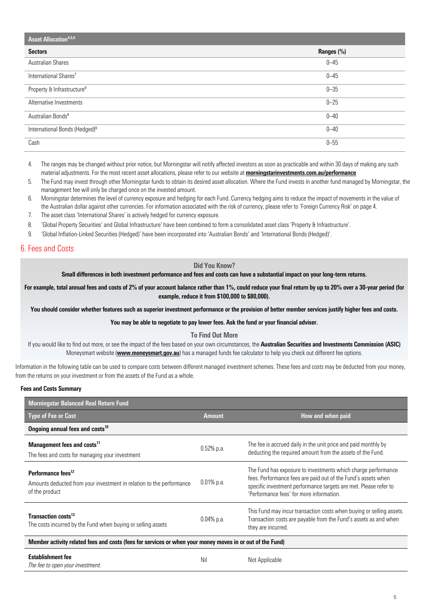| Asset Allocation <sup>4,5,6</sup>         |            |  |
|-------------------------------------------|------------|--|
| <b>Sectors</b>                            | Ranges (%) |  |
| <b>Australian Shares</b>                  | $0 - 45$   |  |
| International Shares <sup>7</sup>         | $0 - 45$   |  |
| Property & Infrastructure <sup>8</sup>    | $0 - 35$   |  |
| Alternative Investments                   | $0 - 25$   |  |
| Australian Bonds <sup>9</sup>             | $0 - 40$   |  |
| International Bonds (Hedged) <sup>9</sup> | $0 - 40$   |  |
| Cash                                      | $0 - 55$   |  |

<sup>4.</sup> The ranges may be changed without prior notice, but Morningstar will notify affected investors as soon as practicable and within 30 days of making any such material adjustments. For the most recent asset allocations, please refer to our website at [morningstarinvestments.com.au/performance](http://www.morningstarinvestments.com.au/performance)

- 5. The Fund may invest through other Morningstar funds to obtain its desired asset allocation. Where the Fund invests in another fund managed by Morningstar, the management fee will only be charged once on the invested amount.
- 6. Morningstar determines the level of currency exposure and hedging for each Fund. Currency hedging aims to reduce the impact of movements in the value of the Australian dollar against other currencies. For information associated with the risk of currency, please refer to 'Foreign Currency Risk' on page 4.
- 7. The asset class 'International Shares' is actively hedged for currency exposure.
- 8. 'Global Property Securities' and Global Infrastructure' have been combined to form a consolidated asset class 'Property & Infrastructure'.
- 9. 'Global Inflation-Linked Securities (Hedged)' have been incorporated into 'Australian Bonds' and 'International Bonds (Hedged)'.

# <span id="page-4-0"></span>6. Fees and Costs

#### Did You Know?

Small differences in both investment performance and fees and costs can have a substantial impact on your long-term returns.

For example, total annual fees and costs of 2% of your account balance rather than 1%, could reduce your final return by up to 20% over a 30-year period (for example, reduce it from \$100,000 to \$80,000).

You should consider whether features such as superior investment performance or the provision of better member services justify higher fees and costs.

You may be able to negotiate to pay lower fees. Ask the fund or your financial adviser.

To Find Out More

If you would like to find out more, or see the impact of the fees based on your own circumstances, the Australian Securities and Investments Commission (ASIC) Moneysmart website ([www.moneysmart.gov.au](http://www.moneysmart.gov.au/)) has a managed funds fee calculator to help you check out different fee options.

Information in the following table can be used to compare costs between different managed investment schemes. These fees and costs may be deducted from your money, from the returns on your investment or from the assets of the Fund as a whole.

# Fees and Costs Summary

| <b>Morningstar Balanced Real Return Fund</b>                                                                             |               |                                                                                                                                                                                                                                                |  |
|--------------------------------------------------------------------------------------------------------------------------|---------------|------------------------------------------------------------------------------------------------------------------------------------------------------------------------------------------------------------------------------------------------|--|
| <b>Type of Fee or Cost</b>                                                                                               | <b>Amount</b> | How and when paid                                                                                                                                                                                                                              |  |
| Ongoing annual fees and costs <sup>10</sup>                                                                              |               |                                                                                                                                                                                                                                                |  |
| Management fees and costs <sup>11</sup><br>The fees and costs for managing your investment                               | $0.52%$ p.a.  | The fee is accrued daily in the unit price and paid monthly by<br>deducting the required amount from the assets of the Fund.                                                                                                                   |  |
| Performance fees <sup>12</sup><br>Amounts deducted from your investment in relation to the performance<br>of the product | $0.01\%$ p.a. | The Fund has exposure to investments which charge performance<br>fees. Performance fees are paid out of the Fund's assets when<br>specific investment performance targets are met. Please refer to<br>'Performance fees' for more information. |  |
| Transaction costs <sup>13</sup><br>The costs incurred by the Fund when buying or selling assets                          | $0.04\%$ p.a. | This Fund may incur transaction costs when buying or selling assets.<br>Transaction costs are payable from the Fund's assets as and when<br>they are incurred.                                                                                 |  |
| Member activity related fees and costs (fees for services or when your money moves in or out of the Fund)                |               |                                                                                                                                                                                                                                                |  |
| <b>Establishment fee</b><br>The fee to open your investment.                                                             | Nil           | Not Applicable                                                                                                                                                                                                                                 |  |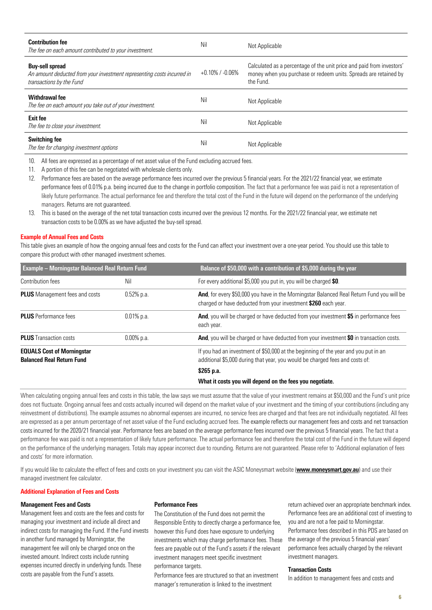| <b>Contribution fee</b><br>The fee on each amount contributed to your investment.                                            | Nil                   | Not Applicable                                                                                                                                         |
|------------------------------------------------------------------------------------------------------------------------------|-----------------------|--------------------------------------------------------------------------------------------------------------------------------------------------------|
| <b>Buy-sell spread</b><br>An amount deducted from your investment representing costs incurred in<br>transactions by the Fund | $+0.10\%$ / $-0.06\%$ | Calculated as a percentage of the unit price and paid from investors'<br>money when you purchase or redeem units. Spreads are retained by<br>the Fund. |
| Withdrawal fee<br>The fee on each amount you take out of your investment.                                                    | Nil                   | Not Applicable                                                                                                                                         |
| <b>Exit fee</b><br>The fee to close your investment.                                                                         | Nil                   | Not Applicable                                                                                                                                         |
| <b>Switching fee</b><br>The fee for changing investment options                                                              | Nil                   | Not Applicable                                                                                                                                         |

10. All fees are expressed as a percentage of net asset value of the Fund excluding accrued fees.

11. A portion of this fee can be negotiated with wholesale clients only.

12. Performance fees are based on the average performance fees incurred over the previous 5 financial years. For the 2021/22 financial year, we estimate performance fees of 0.01% p.a. being incurred due to the change in portfolio composition. The fact that a performance fee was paid is not a representation of likely future performance. The actual performance fee and therefore the total cost of the Fund in the future will depend on the performance of the underlying managers. Returns are not guaranteed.

13. This is based on the average of the net total transaction costs incurred over the previous 12 months. For the 2021/22 financial year, we estimate net transaction costs to be 0.00% as we have adjusted the buy-sell spread.

#### Example of Annual Fees and Costs

This table gives an example of how the ongoing annual fees and costs for the Fund can affect your investment over a one-year period. You should use this table to compare this product with other managed investment schemes.

| <b>Example - Morningstar Balanced Real Return Fund</b>                |               | Balance of \$50,000 with a contribution of \$5,000 during the year                                                                                                  |
|-----------------------------------------------------------------------|---------------|---------------------------------------------------------------------------------------------------------------------------------------------------------------------|
| Contribution fees                                                     | Nil           | For every additional \$5,000 you put in, you will be charged \$0.                                                                                                   |
| <b>PLUS</b> Management fees and costs                                 | $0.52%$ p.a.  | And, for every \$50,000 you have in the Morningstar Balanced Real Return Fund you will be<br>charged or have deducted from your investment \$260 each year.         |
| <b>PLUS</b> Performance fees                                          | $0.01\%$ p.a. | <b>And</b> , you will be charged or have deducted from your investment \$5 in performance fees<br>each year.                                                        |
| <b>PLUS</b> Transaction costs                                         | $0.00\%$ p.a. | And, you will be charged or have deducted from your investment \$0 in transaction costs.                                                                            |
| <b>EQUALS Cost of Morningstar</b><br><b>Balanced Real Return Fund</b> |               | If you had an investment of \$50,000 at the beginning of the year and you put in an<br>additional \$5,000 during that year, you would be charged fees and costs of: |
|                                                                       |               | \$265 p.a.                                                                                                                                                          |
|                                                                       |               | What it costs you will depend on the fees you negotiate.                                                                                                            |

When calculating ongoing annual fees and costs in this table, the law says we must assume that the value of your investment remains at \$50,000 and the Fund's unit price does not fluctuate. Ongoing annual fees and costs actually incurred will depend on the market value of your investment and the timing of your contributions (including any reinvestment of distributions). The example assumes no abnormal expenses are incurred, no service fees are charged and that fees are not individually negotiated. All fees are expressed as a per annum percentage of net asset value of the Fund excluding accrued fees. The example reflects our management fees and costs and net transaction costs incurred for the 2020/21 financial year. Performance fees are based on the average performance fees incurred over the previous 5 financial years. The fact that a performance fee was paid is not a representation of likely future performance. The actual performance fee and therefore the total cost of the Fund in the future will depend on the performance of the underlying managers. Totals may appear incorrect due to rounding. Returns are not guaranteed. Please refer to 'Additional explanation of fees and costs' for more information.

If you would like to calculate the effect of fees and costs on your investment you can visit the ASIC Moneysmart website ([www.moneysmart.gov.au](http://www.moneysmart.gov.au/)) and use their managed investment fee calculator.

#### Additional Explanation of Fees and Costs

## Management Fees and Costs

Management fees and costs are the fees and costs for managing your investment and include all direct and indirect costs for managing the Fund. If the Fund invests in another fund managed by Morningstar, the management fee will only be charged once on the invested amount. Indirect costs include running expenses incurred directly in underlying funds. These costs are payable from the Fund's assets.

#### Performance Fees

The Constitution of the Fund does not permit the Responsible Entity to directly charge a performance fee, however this Fund does have exposure to underlying investments which may charge performance fees. These fees are payable out of the Fund's assets if the relevant investment managers meet specific investment performance targets.

Performance fees are structured so that an investment manager's remuneration is linked to the investment

return achieved over an appropriate benchmark index. Performance fees are an additional cost of investing to you and are not a fee paid to Morningstar. Performance fees described in this PDS are based on the average of the previous 5 financial years' performance fees actually charged by the relevant investment managers.

#### Transaction Costs

In addition to management fees and costs and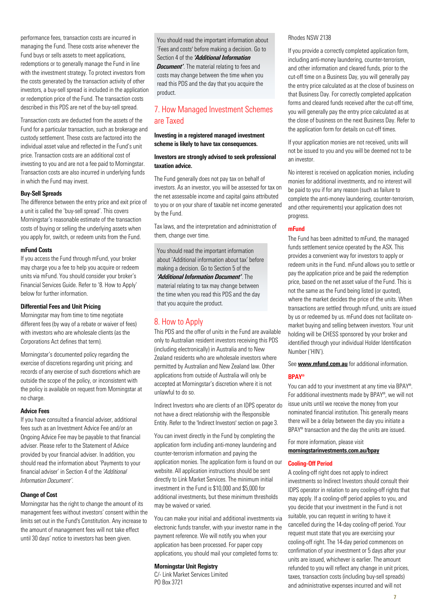performance fees, transaction costs are incurred in managing the Fund. These costs arise whenever the Fund buys or sells assets to meet applications, redemptions or to generally manage the Fund in line with the investment strategy. To protect investors from the costs generated by the transaction activity of other investors, a buy-sell spread is included in the application or redemption price of the Fund. The transaction costs described in this PDS are net of the buy-sell spread.

Transaction costs are deducted from the assets of the Fund for a particular transaction, such as brokerage and custody settlement. These costs are factored into the individual asset value and reflected in the Fund's unit price. Transaction costs are an additional cost of investing to you and are not a fee paid to Morningstar. Transaction costs are also incurred in underlying funds in which the Fund may invest.

#### Buy-Sell Spreads

The difference between the entry price and exit price of a unit is called the 'buy-sell spread'. This covers Morningstar's reasonable estimate of the transaction costs of buying or selling the underlying assets when you apply for, switch, or redeem units from the Fund.

## mFund Costs

If you access the Fund through mFund, your broker may charge you a fee to help you acquire or redeem units via mFund. You should consider your broker's Financial Services Guide. Refer to '8. How to Apply' below for further information.

#### Differential Fees and Unit Pricing

Morningstar may from time to time negotiate different fees (by way of a rebate or waiver of fees) with investors who are wholesale clients (as the Corporations Act defines that term).

Morningstar's documented policy regarding the exercise of discretions regarding unit pricing; and records of any exercise of such discretions which are outside the scope of the policy, or inconsistent with the policy is available on request from Morningstar at no charge.

#### Advice Fees

If you have consulted a financial adviser, additional fees such as an Investment Advice Fee and/or an Ongoing Advice Fee may be payable to that financial adviser. Please refer to the Statement of Advice provided by your financial adviser. In addition, you should read the information about 'Payments to your financial adviser' in Section 4 of the *'Additional Information Document'*.

# Change of Cost

Morningstar has the right to change the amount of its management fees without investors' consent within the limits set out in the Fund's Constitution. Any increase to the amount of management fees will not take effect until 30 days' notice to investors has been given.

You should read the important information about 'Fees and costs' before making a decision. Go to Section 4 of the *'Additional Information Document'*. The material relating to fees and costs may change between the time when you read this PDS and the day that you acquire the product.

# <span id="page-6-0"></span>7. How Managed Investment Schemes are Taxed

#### Investing in a registered managed investment scheme is likely to have tax consequences.

# Investors are strongly advised to seek professional taxation advice.

The Fund generally does not pay tax on behalf of investors. As an investor, you will be assessed for tax on the net assessable income and capital gains attributed to you or on your share of taxable net income generated by the Fund.

Tax laws, and the interpretation and administration of them, change over time.

You should read the important information about 'Additional information about tax' before making a decision. Go to Section 5 of the *'Additional Information Document'*. The material relating to tax may change between the time when you read this PDS and the day that you acquire the product.

# <span id="page-6-1"></span>8. How to Apply

This PDS and the offer of units in the Fund are available only to Australian resident investors receiving this PDS (including electronically) in Australia and to New Zealand residents who are wholesale investors where permitted by Australian and New Zealand law. Other applications from outside of Australia will only be accepted at Morningstar's discretion where it is not unlawful to do so.

Indirect Investors who are clients of an IDPS operator do not have a direct relationship with the Responsible Entity. Refer to the 'Indirect Investors' section on page 3.

You can invest directly in the Fund by completing the application form including anti-money laundering and counter-terrorism information and paying the application monies. The application form is found on our website. All application instructions should be sent directly to Link Market Services. The minimum initial investment in the Fund is \$10,000 and \$5,000 for additional investments, but these minimum thresholds may be waived or varied.

You can make your initial and additional investments via electronic funds transfer, with your investor name in the payment reference. We will notify you when your application has been processed. For paper copy applications, you should mail your completed forms to:

# Morningstar Unit Registry

C/-Link Market Services Limited PO Box 3721

# Rhodes NSW 2138

If you provide a correctly completed application form, including anti-money laundering, counter-terrorism, and other information and cleared funds, prior to the cut-off time on a Business Day, you will generally pay the entry price calculated as at the close of business on that Business Day. For correctly completed application forms and cleared funds received after the cut-off time, you will generally pay the entry price calculated as at the close of business on the next Business Day. Refer to the application form for details on cut-off times.

If your application monies are not received, units will not be issued to you and you will be deemed not to be an investor.

No interest is received on application monies, including monies for additional investments, and no interest will be paid to you if for any reason (such as failure to complete the anti-money laundering, counter-terrorism, and other requirements) your application does not progress.

#### mFund

The Fund has been admitted to mFund, the managed funds settlement service operated by the ASX. This provides a convenient way for investors to apply or redeem units in the Fund. mFund allows you to settle or pay the application price and be paid the redemption price, based on the net asset value of the Fund. This is not the same as the Fund being listed (or quoted), where the market decides the price of the units. When transactions are settled through mFund, units are issued by us or redeemed by us. mFund does not facilitate onmarket buying and selling between investors. Your unit holding will be CHESS sponsored by your broker and identified through your individual Holder Identification Number ('HIN').

See [www.mfund.com.au](http://www.mfund.com.au/) for additional information.

#### **BPAY®**

You can add to your investment at any time via BPAY®. For additional investments made by BPAY®, we will not issue units until we receive the money from your nominated financial institution. This generally means there will be a delay between the day you initiate a BPAY<sup>®</sup> transaction and the day the units are issued.

For more information, please visit [morningstarinvestments.com.au/bpay](http://morningstarinvestments.com.au/bpay)

#### Cooling-Off Period

A cooling-off right does not apply to indirect investments so Indirect Investors should consult their IDPS operator in relation to any cooling-off rights that may apply. If a cooling-off period applies to you, and you decide that your investment in the Fund is not suitable, you can request in writing to have it cancelled during the 14-day cooling-off period. Your request must state that you are exercising your cooling-off right. The 14-day period commences on confirmation of your investment or 5 days after your units are issued, whichever is earlier. The amount refunded to you will reflect any change in unit prices, taxes, transaction costs (including buy-sell spreads) and administrative expenses incurred and will not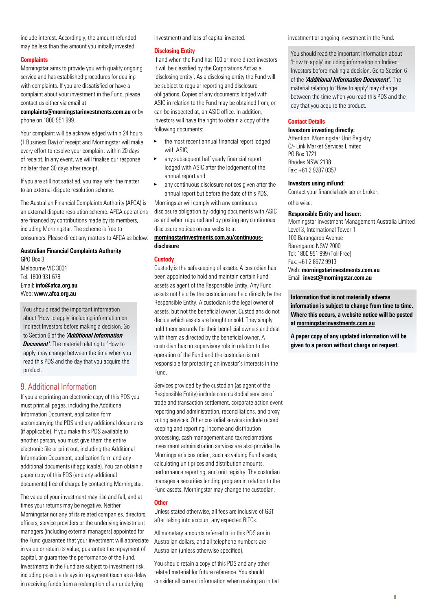include interest. Accordingly, the amount refunded may be less than the amount you initially invested.

#### **Complaints**

Morningstar aims to provide you with quality ongoing service and has established procedures for dealing with complaints. If you are dissatisfied or have a complaint about your investment in the Fund, please contact us either via email at

[complaints@morningstarinvestments.com.au](mailto:complaints@morningstarinvestments.com.au) or by phone on 1800 951 999.

Your complaint will be acknowledged within 24 hours (1 Business Day) of receipt and Morningstar will make every effort to resolve your complaint within 20 days of receipt. In any event, we will finalise our response no later than 30 days after receipt.

If you are still not satisfied, you may refer the matter to an external dispute resolution scheme.

The Australian Financial Complaints Authority (AFCA) is an external dispute resolution scheme. AFCA operations are financed by contributions made by its members, including Morningstar. The scheme is free to consumers. Please direct any matters to AFCA as below:

Australian Financial Complaints Authority

GPO Box 3 Melbourne VIC 3001 Tel: 1800 931 678 Email: [info@afca.org.au](mailto:info@afca.org.au) Web: [www.afca.org.au](http://www.afca.org.au/)

You should read the important information about 'How to apply' including information on Indirect Investors before making a decision. Go to Section 6 of the *'Additional Information Document'*. The material relating to 'How to apply' may change between the time when you read this PDS and the day that you acquire the product.

# <span id="page-7-0"></span>9. Additional Information

If you are printing an electronic copy of this PDS you must print all pages, including the Additional Information Document, application form accompanying the PDS and any additional documents (if applicable). If you make this PDS available to another person, you must give them the entire electronic file or print out, including the Additional Information Document, application form and any additional documents (if applicable). You can obtain a paper copy of this PDS (and any additional documents) free of charge by contacting Morningstar.

The value of your investment may rise and fall, and at times your returns may be negative. Neither Morningstar nor any of its related companies, directors, officers, service providers or the underlying investment managers (including external managers) appointed for the Fund guarantee that your investment will appreciate in value or retain its value, guarantee the repayment of capital, or guarantee the performance of the Fund. Investments in the Fund are subject to investment risk, including possible delays in repayment (such as a delay in receiving funds from a redemption of an underlying

investment) and loss of capital invested.

#### Disclosing Entity

If and when the Fund has 100 or more direct investors it will be classified by the Corporations Act as a 'disclosing entity'. As a disclosing entity the Fund will be subject to regular reporting and disclosure obligations. Copies of any documents lodged with ASIC in relation to the Fund may be obtained from, or can be inspected at, an ASIC office. In addition, investors will have the right to obtain a copy of the following documents:

- the most recent annual financial report lodged with ASIC;
- any subsequent half yearly financial report lodged with ASIC after the lodgement of the annual report and
- any continuous disclosure notices given after the annual report but before the date of this PDS.

Morningstar will comply with any continuous disclosure obligation by lodging documents with ASIC as and when required and by posting any continuous disclosure notices on our website at

# [morningstarinvestments.com.au/continuous](https://morningstarinvestments.com.au/continuous-disclosure)[disclosure](https://morningstarinvestments.com.au/continuous-disclosure)

#### **Custody**

Custody is the safekeeping of assets. A custodian has been appointed to hold and maintain certain Fund assets as agent of the Responsible Entity. Any Fund assets not held by the custodian are held directly by the Responsible Entity. A custodian is the legal owner of assets, but not the beneficial owner. Custodians do not decide which assets are bought or sold. They simply hold them securely for their beneficial owners and deal with them as directed by the beneficial owner. A custodian has no supervisory role in relation to the operation of the Fund and the custodian is not responsible for protecting an investor's interests in the Fund.

Services provided by the custodian (as agent of the Responsible Entity) include core custodial services of trade and transaction settlement, corporate action event reporting and administration, reconciliations, and proxy voting services. Other custodial services include record keeping and reporting, income and distribution processing, cash management and tax reclamations. Investment administration services are also provided by Morningstar's custodian, such as valuing Fund assets, calculating unit prices and distribution amounts, performance reporting, and unit registry. The custodian manages a securities lending program in relation to the Fund assets. Morningstar may change the custodian.

#### **Other**

Unless stated otherwise, all fees are inclusive of GST after taking into account any expected RITCs.

All monetary amounts referred to in this PDS are in Australian dollars, and all telephone numbers are Australian (unless otherwise specified).

You should retain a copy of this PDS and any other related material for future reference. You should consider all current information when making an initial investment or ongoing investment in the Fund.

You should read the important information about 'How to apply' including information on Indirect Investors before making a decision. Go to Section 6 of the *'Additional Information Document'*. The material relating to 'How to apply' may change between the time when you read this PDS and the day that you acquire the product.

#### Contact Details

### Investors investing directly:

Attention: Morningstar Unit Registry C/- Link Market Services Limited PO Box 3721 Rhodes NSW 2138 Fax: +61 2 9287 0357

#### Investors using mFund:

Contact your financial adviser or broker. otherwise:

#### Responsible Entity and Issuer:

Morningstar Investment Management Australia Limited Level 3, International Tower 1 100 Barangaroo Avenue Barangaroo NSW 2000 Tel: 1800 951 999 (Toll Free) Fax: +61 2 8572 9913 Web: [morningstarinvestments.com.au](http://www.morningstarinvestments.com.au/) [Email](http://www.morningstarinvestments.com.au/): [invest@morningstar.com.au](mailto:invest@morningstar.com.au)

Information that is not materially adverse information is subject to change from time to time. Where this occurs, a website notice will be posted a[t morningstarinvestments.com.au](https://www.morningstarinvestments.com.au/)

A paper copy of any updated information will be given to a person without charge on request.